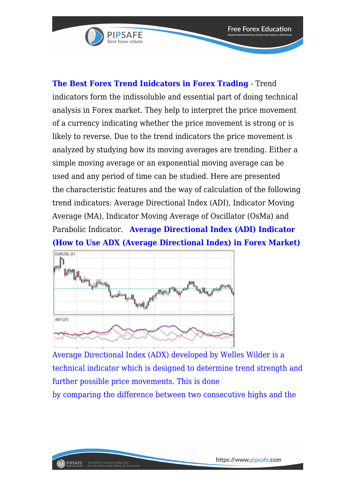

**The Best Forex Trend Inidcators in Forex Trading** - Trend indicators form the indissoluble and essential part of doing technical analysis in Forex market. They help to interpret the price movement of a currency indicating whether the price movement is strong or is likely to reverse. Due to the trend indicators the price movement is analyzed by studying how its moving averages are trending. Either a simple moving average or an exponential moving average can be used and any period of time can be studied. Here are presented the characteristic features and the way of calculation of the following trend indicators: Average Directional Index (ADI), Indicator Moving Average (MA), Indicator Moving Average of Oscillator (OsMa) and Parabolic Indicator. **Average Directional Index (ADI) Indicator (How to Use ADX (Average Directional Index) in Forex Market)**



[Average Directional Index \(ADX\) developed by Welles Wilder is a](https://www.pipsafe.com/wp-content/uploads/2016/10/Moving-Average-of-Oscillator.png) [technical indicator which is designed to determine trend strength and](https://www.pipsafe.com/wp-content/uploads/2016/10/Moving-Average-of-Oscillator.png) [further possible price movements. This is done](https://www.pipsafe.com/wp-content/uploads/2016/10/Moving-Average-of-Oscillator.png) [by comparing the difference between two consecutive highs and the](https://www.pipsafe.com/wp-content/uploads/2016/10/Moving-Average-of-Oscillator.png)

**Free Forex Education**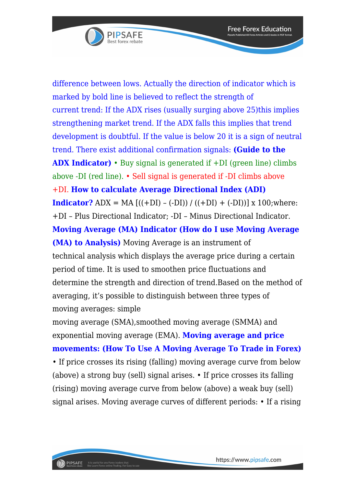

[difference between lows. Actually the direction of indicator which is](https://www.pipsafe.com/wp-content/uploads/2016/10/Moving-Average-of-Oscillator.png) [marked by bold line is believed to reflect the strength of](https://www.pipsafe.com/wp-content/uploads/2016/10/Moving-Average-of-Oscillator.png) [current trend: If the ADX rises \(usually surging above 25\)this implies](https://www.pipsafe.com/wp-content/uploads/2016/10/Moving-Average-of-Oscillator.png) [strengthening market trend. If the ADX falls this implies that trend](https://www.pipsafe.com/wp-content/uploads/2016/10/Moving-Average-of-Oscillator.png) [development is doubtful. If the value is below 20 it is a sign of neutral](https://www.pipsafe.com/wp-content/uploads/2016/10/Moving-Average-of-Oscillator.png) [trend. There exist additional confirmation signals:](https://www.pipsafe.com/wp-content/uploads/2016/10/Moving-Average-of-Oscillator.png) **(Guide to the ADX Indicator)** • Buy signal is generated if +DI (green line) climbs above -DI (red line). • Sell signal is generated if -DI climbs above +DI. **How to calculate Average Directional Index (ADI) Indicator?** ADX = MA  $[((+DI) - (-DI)) / ((+DI) + (-DI))]$  x 100; where: +DI – Plus Directional Indicator; -DI – Minus Directional Indicator. **Moving Average (MA) Indicator (How do I use Moving Average (MA) to Analysis)** Moving Average is an instrument of technical analysis which displays the average price during a certain period of time. It is used to smoothen price fluctuations and determine the strength and direction of trend.Based on the method of averaging, it's possible to distinguish between three types of moving averages: simple

moving average (SMA),smoothed moving average (SMMA) and exponential moving average (EMA). **Moving average and price movements: (How To Use A Moving Average To Trade in Forex)** • If price crosses its rising (falling) moving average curve from below (above) a strong buy (sell) signal arises. • If price crosses its falling (rising) moving average curve from below (above) a weak buy (sell) signal arises. Moving average curves of different periods: • If a rising

**Free Forex Education**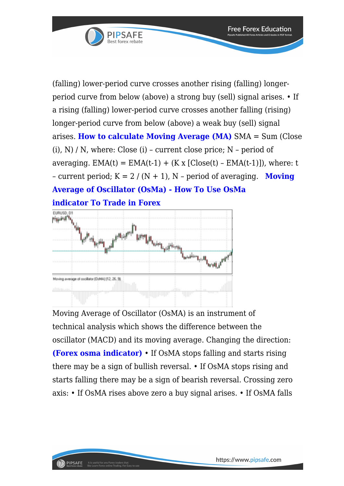

(falling) lower-period curve crosses another rising (falling) longerperiod curve from below (above) a strong buy (sell) signal arises. • If a rising (falling) lower-period curve crosses another falling (rising) longer-period curve from below (above) a weak buy (sell) signal arises. **How to calculate Moving Average (MA)** SMA = Sum (Close  $(i)$ , N) / N, where: Close  $(i)$  – current close price; N – period of averaging.  $EMA(t) = EMA(t-1) + (Kx [Close(t) - EMA(t-1)])$ , where: t – current period;  $K = 2 / (N + 1)$ , N – period of averaging. **Moving Average of Oscillator (OsMa) - How To Use OsMa indicator To Trade in Forex**



PIPSAFE

It is useful for any Forex traders that<br>like Learn Forex online Trading. For Ea

Moving Average of Oscillator (OsMA) is an instrument of technical analysis which shows the difference between the oscillator (MACD) and its moving average. Changing the direction: **(Forex osma indicator)** • If OsMA stops falling and starts rising there may be a sign of bullish reversal. • If OsMA stops rising and starts falling there may be a sign of bearish reversal. Crossing zero axis: • If OsMA rises above zero a buy signal arises. • If OsMA falls